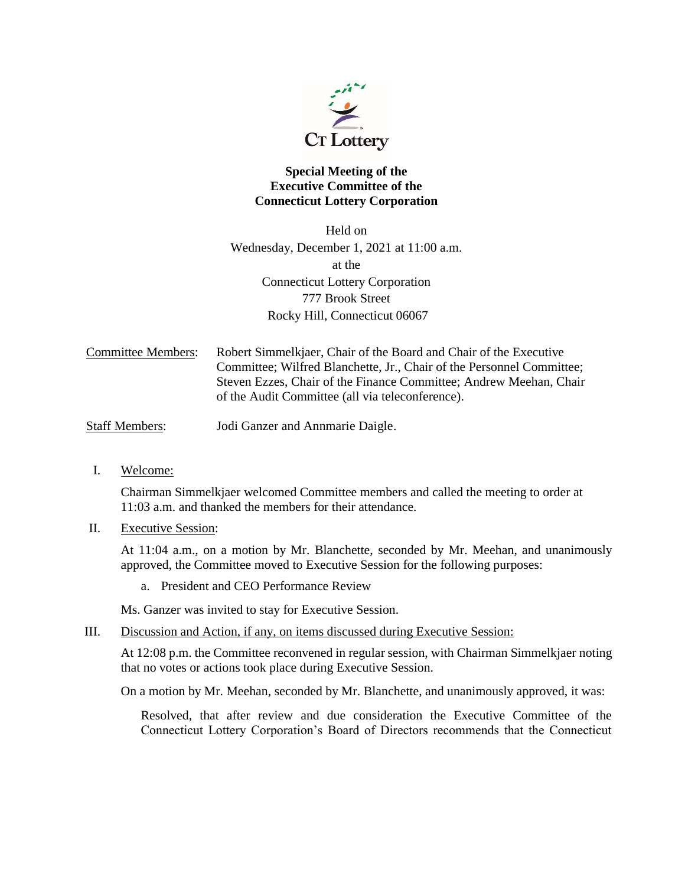

## **Special Meeting of the Executive Committee of the Connecticut Lottery Corporation**

Held on Wednesday, December 1, 2021 at 11:00 a.m. at the Connecticut Lottery Corporation 777 Brook Street Rocky Hill, Connecticut 06067

Committee Members: Robert Simmelkjaer, Chair of the Board and Chair of the Executive Committee; Wilfred Blanchette, Jr., Chair of the Personnel Committee; Steven Ezzes, Chair of the Finance Committee; Andrew Meehan, Chair of the Audit Committee (all via teleconference).

Staff Members: Jodi Ganzer and Annmarie Daigle.

I. Welcome:

Chairman Simmelkjaer welcomed Committee members and called the meeting to order at 11:03 a.m. and thanked the members for their attendance.

II. Executive Session:

At 11:04 a.m., on a motion by Mr. Blanchette, seconded by Mr. Meehan, and unanimously approved, the Committee moved to Executive Session for the following purposes:

a. President and CEO Performance Review

Ms. Ganzer was invited to stay for Executive Session.

III. Discussion and Action, if any, on items discussed during Executive Session:

At 12:08 p.m. the Committee reconvened in regular session, with Chairman Simmelkjaer noting that no votes or actions took place during Executive Session.

On a motion by Mr. Meehan, seconded by Mr. Blanchette, and unanimously approved, it was:

Resolved, that after review and due consideration the Executive Committee of the Connecticut Lottery Corporation's Board of Directors recommends that the Connecticut